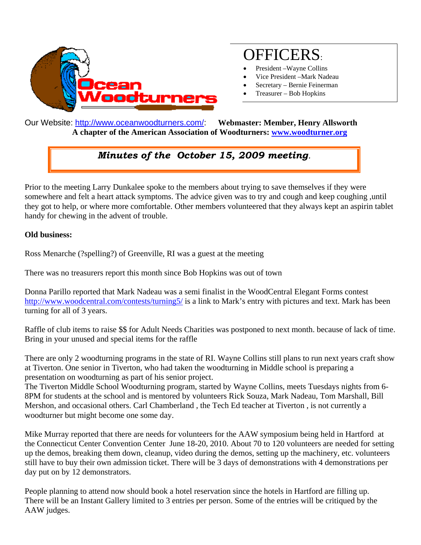

# OFFICERS:

- President –Wayne Collins
- Vice President –Mark Nadeau
- Secretary Bernie Feinerman
- Treasurer Bob Hopkins

Our Website: http://www.oceanwoodturners.com/: **Webmaster: Member, Henry Allsworth A chapter of the American Association of Woodturners: www.woodturner.org** 

# *Minutes of the October 15, 2009 meeting.*

Prior to the meeting Larry Dunkalee spoke to the members about trying to save themselves if they were somewhere and felt a heart attack symptoms. The advice given was to try and cough and keep coughing ,until they got to help, or where more comfortable. Other members volunteered that they always kept an aspirin tablet handy for chewing in the advent of trouble.

#### **Old business:**

Ross Menarche (?spelling?) of Greenville, RI was a guest at the meeting

There was no treasurers report this month since Bob Hopkins was out of town

Donna Parillo reported that Mark Nadeau was a semi finalist in the WoodCentral Elegant Forms contest http://www.woodcentral.com/contests/turning5/ is a link to Mark's entry with pictures and text. Mark has been turning for all of 3 years.

Raffle of club items to raise \$\$ for Adult Needs Charities was postponed to next month. because of lack of time. Bring in your unused and special items for the raffle

There are only 2 woodturning programs in the state of RI. Wayne Collins still plans to run next years craft show at Tiverton. One senior in Tiverton, who had taken the woodturning in Middle school is preparing a presentation on woodturning as part of his senior project.

The Tiverton Middle School Woodturning program, started by Wayne Collins, meets Tuesdays nights from 6- 8PM for students at the school and is mentored by volunteers Rick Souza, Mark Nadeau, Tom Marshall, Bill Mershon, and occasional others. Carl Chamberland , the Tech Ed teacher at Tiverton , is not currently a woodturner but might become one some day.

Mike Murray reported that there are needs for volunteers for the AAW symposium being held in Hartford at the Connecticut Center Convention Center June 18-20, 2010. About 70 to 120 volunteers are needed for setting up the demos, breaking them down, cleanup, video during the demos, setting up the machinery, etc. volunteers still have to buy their own admission ticket. There will be 3 days of demonstrations with 4 demonstrations per day put on by 12 demonstrators.

People planning to attend now should book a hotel reservation since the hotels in Hartford are filling up. There will be an Instant Gallery limited to 3 entries per person. Some of the entries will be critiqued by the AAW judges.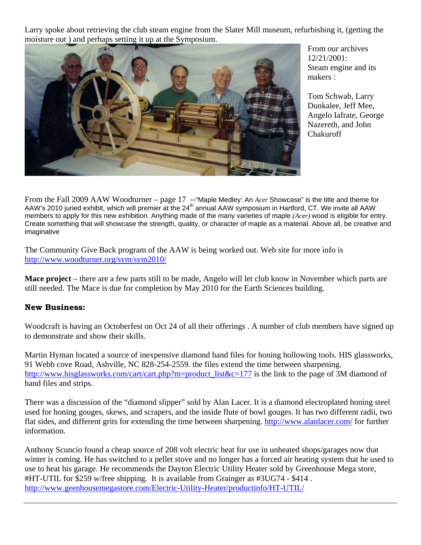Larry spoke about retrieving the club steam engine from the Slater Mill museum, refurbishing it, (getting the moisture out ) and perhaps setting it up at the Symposium.



From our archives 12/21/2001: Steam engine and its makers :

Tom Schwab, Larry Dunkalee, Jeff Mee, Angelo Iafrate, George Nazereth, and John Chakuroff

From the Fall 2009 AAW Woodturner – page 17 -- "Maple Medley: An *Acer* Showcase" is the title and theme for AAW's 2010 juried exhibit, which will premier at the 24<sup>th</sup> annual AAW symposium in Hartford, CT. We invite all AAW members to apply for this new exhibition. Anything made of the many varieties of maple *(Acer)* wood is eligible for entry. Create something that will showcase the strength, quality, or character of maple as a material. Above all, be creative and imaginative

The Community Give Back program of the AAW is being worked out. Web site for more info is http://www.woodturner.org/sym/sym2010/

**Mace project** – there are a few parts still to be made, Angelo will let club know in November which parts are still needed. The Mace is due for completion by May 2010 for the Earth Sciences building.

#### **New Business:**

Woodcraft is having an Octoberfest on Oct 24 of all their offerings . A number of club members have signed up to demonstrate and show their skills.

Martin Hyman located a source of inexpensive diamond hand files for honing hollowing tools. HIS glassworks, 91 Webb cove Road, Ashville, NC 828-254-2559. the files extend the time between sharpening. http://www.hisglassworks.com/cart/cart.php?m=product\_list&c=177 is the link to the page of 3M diamond of hand files and strips.

There was a discussion of the "diamond slipper" sold by Alan Lacer. It is a diamond electroplated honing steel used for honing gouges, skews, and scrapers, and the inside flute of bowl gouges. It has two different radii, two flat sides, and different grits for extending the time between sharpening. http://www.alanlacer.com/ for further information.

Anthony Scuncio found a cheap source of 208 volt electric heat for use in unheated shops/garages now that winter is coming. He has switched to a pellet stove and no longer has a forced air heating system that he used to use to heat his garage. He recommends the Dayton Electric Utility Heater sold by Greenhouse Mega store, #HT-UTIL for \$259 w/free shipping. It is available from Grainger as #3UG74 - \$414 . http://www.geenhousemegastore.com/Electric-Utility-Heater/productinfo/HT-UTIL/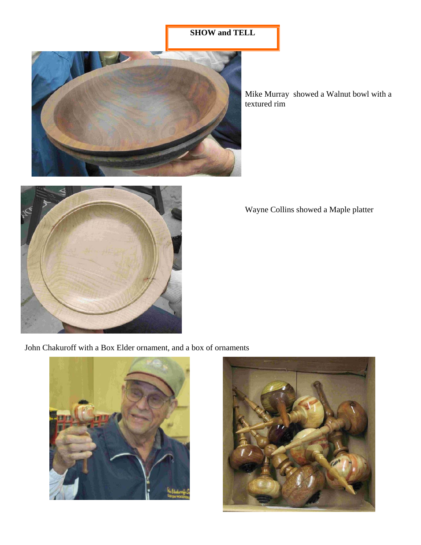## **SHOW and TELL**



Mike Murray showed a Walnut bowl with a textured rim



Wayne Collins showed a Maple platter

John Chakuroff with a Box Elder ornament, and a box of ornaments



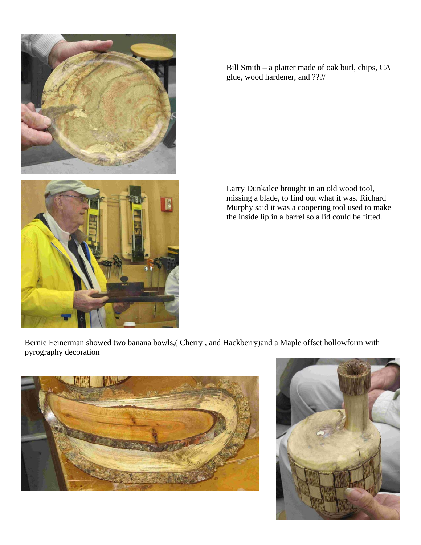

Bill Smith – a platter made of oak burl, chips, CA glue, wood hardener, and ???/

Larry Dunkalee brought in an old wood tool, missing a blade, to find out what it was. Richard Murphy said it was a coopering tool used to make the inside lip in a barrel so a lid could be fitted.

Bernie Feinerman showed two banana bowls,( Cherry , and Hackberry)and a Maple offset hollowform with pyrography decoration



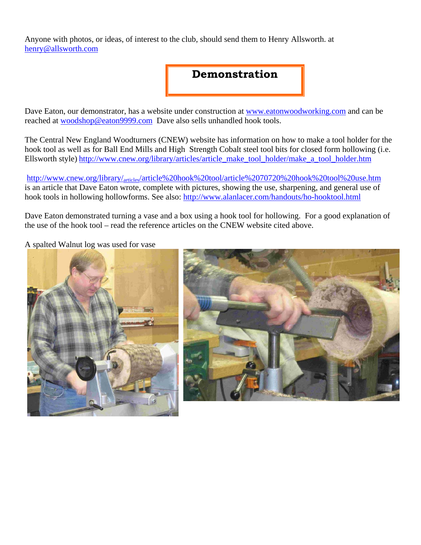Anyone with photos, or ideas, of interest to the club, should send them to Henry Allsworth. at henry@allsworth.com

## **Demonstration**

Dave Eaton, our demonstrator, has a website under construction at www.eatonwoodworking.com and can be reached at woodshop@eaton9999.com Dave also sells unhandled hook tools.

The Central New England Woodturners (CNEW) website has information on how to make a tool holder for the hook tool as well as for Ball End Mills and High Strength Cobalt steel tool bits for closed form hollowing (i.e. Ellsworth style) http://www.cnew.org/library/articles/article\_make\_tool\_holder/make\_a\_tool\_holder.htm

http://www.cnew.org/library/articles/article%20hook%20tool/article%2070720%20hook%20tool%20use.htm is an article that Dave Eaton wrote, complete with pictures, showing the use, sharpening, and general use of hook tools in hollowing hollowforms. See also: http://www.alanlacer.com/handouts/ho-hooktool.html

Dave Eaton demonstrated turning a vase and a box using a hook tool for hollowing. For a good explanation of the use of the hook tool – read the reference articles on the CNEW website cited above.

A spalted Walnut log was used for vase